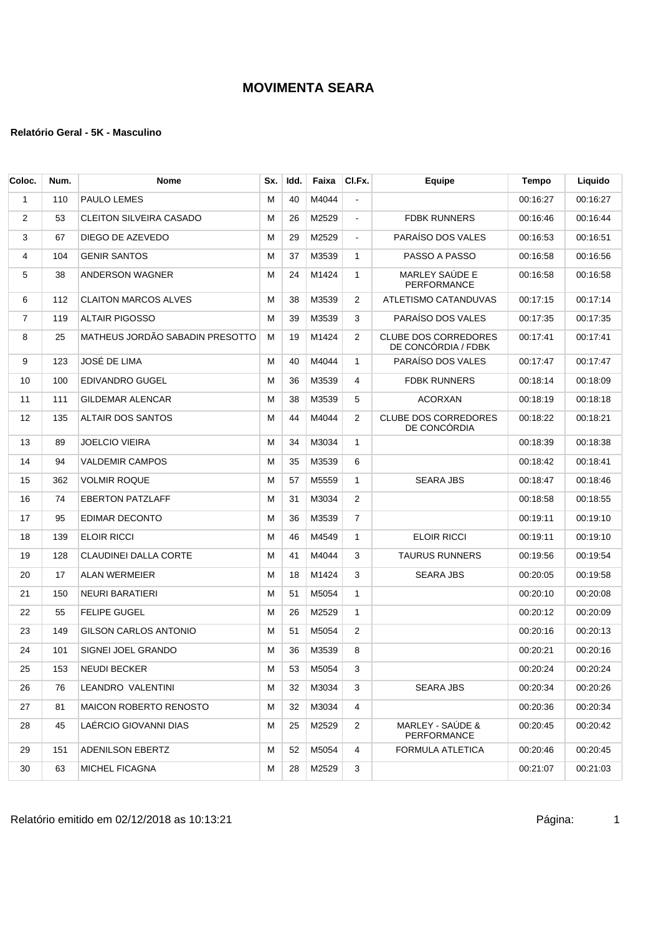| Coloc.         | Num. | Nome                            | Sx. | Idd. | Faixa | CI.Fx.         | Equipe                                             | <b>Tempo</b> | Liquido  |
|----------------|------|---------------------------------|-----|------|-------|----------------|----------------------------------------------------|--------------|----------|
| $\mathbf{1}$   | 110  | PAULO LEMES                     | м   | 40   | M4044 |                |                                                    | 00:16:27     | 00:16:27 |
| 2              | 53   | <b>CLEITON SILVEIRA CASADO</b>  | М   | 26   | M2529 | $\blacksquare$ | <b>FDBK RUNNERS</b>                                | 00:16:46     | 00:16:44 |
| 3              | 67   | DIEGO DE AZEVEDO                | М   | 29   | M2529 | $\blacksquare$ | PARAÍSO DOS VALES                                  | 00:16:53     | 00:16:51 |
| 4              | 104  | <b>GENIR SANTOS</b>             | M   | 37   | M3539 | $\mathbf{1}$   | PASSO A PASSO                                      | 00:16:58     | 00:16:56 |
| 5              | 38   | ANDERSON WAGNER                 | М   | 24   | M1424 | $\mathbf{1}$   | MARLEY SAUDE E<br><b>PERFORMANCE</b>               | 00:16:58     | 00:16:58 |
| 6              | 112  | <b>CLAITON MARCOS ALVES</b>     | м   | 38   | M3539 | 2              | ATLETISMO CATANDUVAS                               | 00:17:15     | 00:17:14 |
| $\overline{7}$ | 119  | <b>ALTAIR PIGOSSO</b>           | м   | 39   | M3539 | 3              | PARAÍSO DOS VALES                                  | 00:17:35     | 00:17:35 |
| 8              | 25   | MATHEUS JORDÃO SABADIN PRESOTTO | М   | 19   | M1424 | 2              | <b>CLUBE DOS CORREDORES</b><br>DE CONCÓRDIA / FDBK | 00:17:41     | 00:17:41 |
| 9              | 123  | <b>JOSÉ DE LIMA</b>             | м   | 40   | M4044 | $\mathbf{1}$   | PARAÍSO DOS VALES                                  | 00:17:47     | 00:17:47 |
| 10             | 100  | EDIVANDRO GUGEL                 | М   | 36   | M3539 | 4              | <b>FDBK RUNNERS</b>                                | 00:18:14     | 00:18:09 |
| 11             | 111  | <b>GILDEMAR ALENCAR</b>         | м   | 38   | M3539 | 5              | <b>ACORXAN</b>                                     | 00:18:19     | 00:18:18 |
| 12             | 135  | <b>ALTAIR DOS SANTOS</b>        | М   | 44   | M4044 | 2              | <b>CLUBE DOS CORREDORES</b><br>DE CONCÓRDIA        | 00:18:22     | 00:18:21 |
| 13             | 89   | <b>JOELCIO VIEIRA</b>           | M   | 34   | M3034 | $\mathbf{1}$   |                                                    | 00:18:39     | 00:18:38 |
| 14             | 94   | <b>VALDEMIR CAMPOS</b>          | М   | 35   | M3539 | 6              |                                                    | 00:18:42     | 00:18:41 |
| 15             | 362  | VOLMIR ROQUE                    | М   | 57   | M5559 | $\mathbf{1}$   | <b>SEARA JBS</b>                                   | 00:18:47     | 00:18:46 |
| 16             | 74   | <b>EBERTON PATZLAFF</b>         | м   | 31   | M3034 | 2              |                                                    | 00:18:58     | 00:18:55 |
| 17             | 95   | EDIMAR DECONTO                  | М   | 36   | M3539 | $\overline{7}$ |                                                    | 00:19:11     | 00:19:10 |
| 18             | 139  | <b>ELOIR RICCI</b>              | М   | 46   | M4549 | 1              | <b>ELOIR RICCI</b>                                 | 00:19:11     | 00:19:10 |
| 19             | 128  | <b>CLAUDINEI DALLA CORTE</b>    | M   | 41   | M4044 | 3              | <b>TAURUS RUNNERS</b>                              | 00:19:56     | 00:19:54 |
| 20             | 17   | <b>ALAN WERMEIER</b>            | М   | 18   | M1424 | 3              | <b>SEARA JBS</b>                                   | 00:20:05     | 00:19:58 |
| 21             | 150  | <b>NEURI BARATIERI</b>          | М   | 51   | M5054 | 1              |                                                    | 00:20:10     | 00:20:08 |
| 22             | 55   | <b>FELIPE GUGEL</b>             | М   | 26   | M2529 | $\mathbf{1}$   |                                                    | 00:20:12     | 00:20:09 |
| 23             | 149  | GILSON CARLOS ANTONIO           | М   | 51   | M5054 | 2              |                                                    | 00:20:16     | 00:20:13 |
| 24             | 101  | SIGNEI JOEL GRANDO              | М   | 36   | M3539 | 8              |                                                    | 00:20:21     | 00:20:16 |
| 25             | 153  | <b>NEUDI BECKER</b>             | М   | 53   | M5054 | 3              |                                                    | 00:20:24     | 00:20:24 |
| 26             | 76   | LEANDRO VALENTINI               | м   | 32   | M3034 | 3              | SEARA JBS                                          | 00:20:34     | 00:20:26 |
| 27             | 81   | <b>MAICON ROBERTO RENOSTO</b>   | М   | 32   | M3034 | 4              |                                                    | 00:20:36     | 00:20:34 |
| 28             | 45   | LAÉRCIO GIOVANNI DIAS           | м   | 25   | M2529 | 2              | MARLEY - SAUDE &<br>PERFORMANCE                    | 00:20:45     | 00:20:42 |
| 29             | 151  | <b>ADENILSON EBERTZ</b>         | М   | 52   | M5054 | 4              | FORMULA ATLETICA                                   | 00:20:46     | 00:20:45 |
| 30             | 63   | <b>MICHEL FICAGNA</b>           | М   | 28   | M2529 | 3              |                                                    | 00:21:07     | 00:21:03 |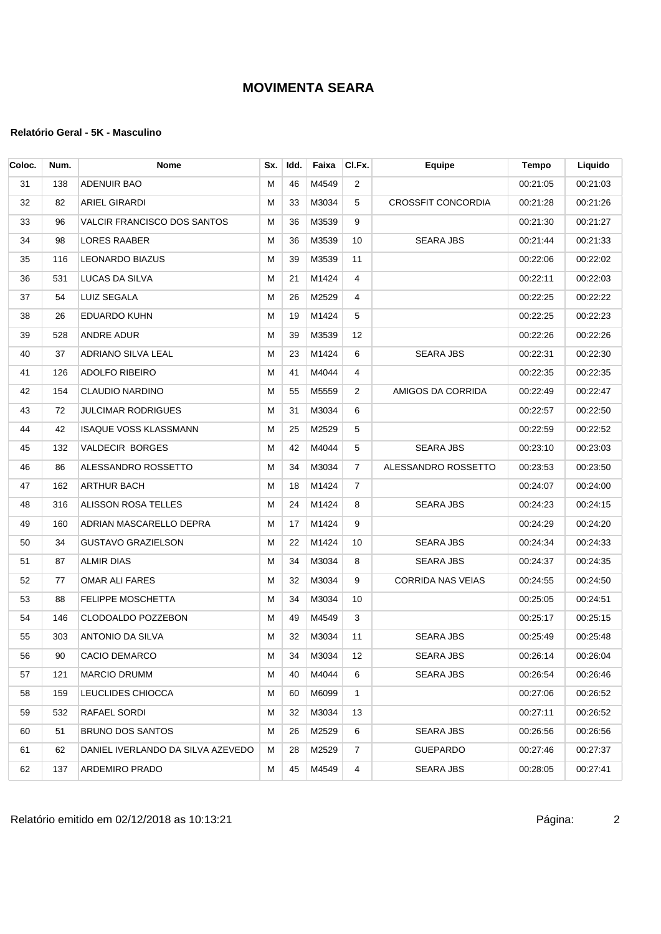| Coloc. | Num. | <b>Nome</b>                        | Sx. | Idd. | Faixa | CI.Fx.            | <b>Equipe</b>             | <b>Tempo</b> | Liquido  |
|--------|------|------------------------------------|-----|------|-------|-------------------|---------------------------|--------------|----------|
| 31     | 138  | <b>ADENUIR BAO</b>                 | м   | 46   | M4549 | 2                 |                           | 00:21:05     | 00:21:03 |
| 32     | 82   | ARIEL GIRARDI                      | м   | 33   | M3034 | 5                 | <b>CROSSFIT CONCORDIA</b> | 00:21:28     | 00:21:26 |
| 33     | 96   | <b>VALCIR FRANCISCO DOS SANTOS</b> | М   | 36   | M3539 | 9                 |                           | 00:21:30     | 00:21:27 |
| 34     | 98   | <b>LORES RAABER</b>                | М   | 36   | M3539 | 10                | <b>SEARA JBS</b>          | 00:21:44     | 00:21:33 |
| 35     | 116  | <b>LEONARDO BIAZUS</b>             | М   | 39   | M3539 | 11                |                           | 00:22:06     | 00:22:02 |
| 36     | 531  | LUCAS DA SILVA                     | М   | 21   | M1424 | 4                 |                           | 00:22:11     | 00:22:03 |
| 37     | 54   | LUIZ SEGALA                        | м   | 26   | M2529 | 4                 |                           | 00:22:25     | 00:22:22 |
| 38     | 26   | EDUARDO KUHN                       | М   | 19   | M1424 | 5                 |                           | 00:22:25     | 00:22:23 |
| 39     | 528  | <b>ANDRE ADUR</b>                  | М   | 39   | M3539 | $12 \overline{ }$ |                           | 00:22:26     | 00:22:26 |
| 40     | 37   | ADRIANO SILVA LEAL                 | М   | 23   | M1424 | 6                 | SEARA JBS                 | 00:22:31     | 00:22:30 |
| 41     | 126  | <b>ADOLFO RIBEIRO</b>              | м   | 41   | M4044 | 4                 |                           | 00:22:35     | 00:22:35 |
| 42     | 154  | <b>CLAUDIO NARDINO</b>             | м   | 55   | M5559 | 2                 | AMIGOS DA CORRIDA         | 00:22:49     | 00:22:47 |
| 43     | 72   | <b>JULCIMAR RODRIGUES</b>          | м   | 31   | M3034 | 6                 |                           | 00:22:57     | 00:22:50 |
| 44     | 42   | <b>ISAQUE VOSS KLASSMANN</b>       | М   | 25   | M2529 | 5                 |                           | 00:22:59     | 00:22:52 |
| 45     | 132  | VALDECIR BORGES                    | М   | 42   | M4044 | 5                 | SEARA JBS                 | 00:23:10     | 00:23:03 |
| 46     | 86   | ALESSANDRO ROSSETTO                | М   | 34   | M3034 | $\overline{7}$    | ALESSANDRO ROSSETTO       | 00:23:53     | 00:23:50 |
| 47     | 162  | <b>ARTHUR BACH</b>                 | м   | 18   | M1424 | $\overline{7}$    |                           | 00:24:07     | 00:24:00 |
| 48     | 316  | ALISSON ROSA TELLES                | м   | 24   | M1424 | 8                 | <b>SEARA JBS</b>          | 00:24:23     | 00:24:15 |
| 49     | 160  | ADRIAN MASCARELLO DEPRA            | м   | 17   | M1424 | 9                 |                           | 00:24:29     | 00:24:20 |
| 50     | 34   | <b>GUSTAVO GRAZIELSON</b>          | м   | 22   | M1424 | 10                | <b>SEARA JBS</b>          | 00:24:34     | 00:24:33 |
| 51     | 87   | <b>ALMIR DIAS</b>                  | м   | 34   | M3034 | 8                 | SEARA JBS                 | 00:24:37     | 00:24:35 |
| 52     | 77   | <b>OMAR ALI FARES</b>              | М   | 32   | M3034 | 9                 | <b>CORRIDA NAS VEIAS</b>  | 00:24:55     | 00:24:50 |
| 53     | 88   | FELIPPE MOSCHETTA                  | М   | 34   | M3034 | 10                |                           | 00:25:05     | 00:24:51 |
| 54     | 146  | CLODOALDO POZZEBON                 | м   | 49   | M4549 | 3                 |                           | 00:25:17     | 00:25:15 |
| 55     | 303  | ANTONIO DA SILVA                   | м   | 32   | M3034 | 11                | <b>SEARA JBS</b>          | 00:25:49     | 00:25:48 |
| 56     | 90   | CACIO DEMARCO                      | M   | 34   | M3034 | 12                | SEARA JBS                 | 00:26:14     | 00:26:04 |
| 57     | 121  | <b>MARCIO DRUMM</b>                | м   | 40   | M4044 | 6                 | SEARA JBS                 | 00:26:54     | 00:26:46 |
| 58     | 159  | LEUCLIDES CHIOCCA                  | м   | 60   | M6099 | $\mathbf{1}$      |                           | 00:27:06     | 00:26:52 |
| 59     | 532  | RAFAEL SORDI                       | м   | 32   | M3034 | 13                |                           | 00:27:11     | 00:26:52 |
| 60     | 51   | <b>BRUNO DOS SANTOS</b>            | м   | 26   | M2529 | 6                 | <b>SEARA JBS</b>          | 00:26:56     | 00:26:56 |
| 61     | 62   | DANIEL IVERLANDO DA SILVA AZEVEDO  | м   | 28   | M2529 | 7                 | <b>GUEPARDO</b>           | 00:27:46     | 00:27:37 |
| 62     | 137  | ARDEMIRO PRADO                     | м   | 45   | M4549 | 4                 | <b>SEARA JBS</b>          | 00:28:05     | 00:27:41 |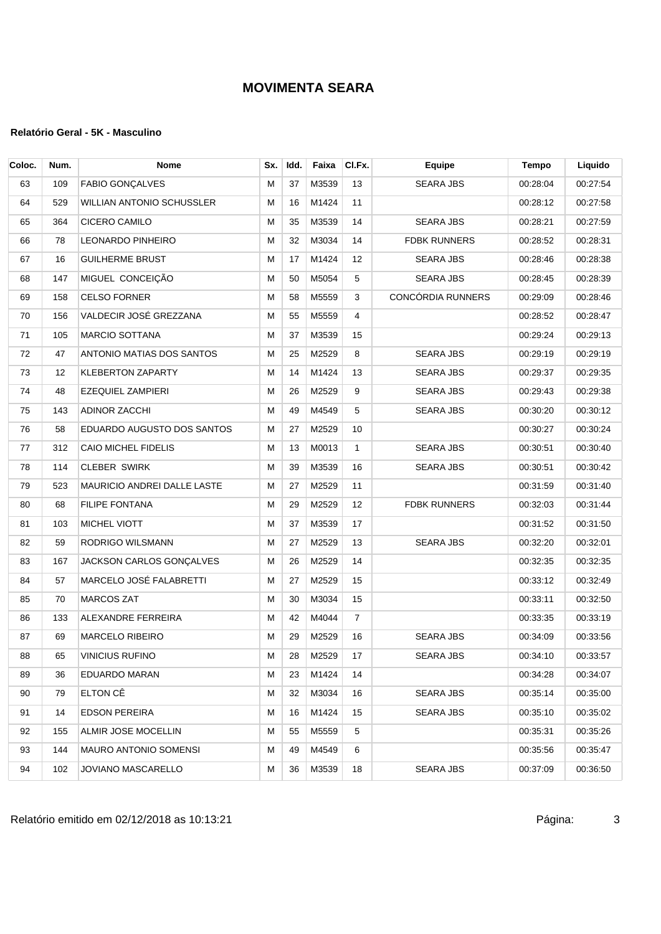| Coloc. | Num. | <b>Nome</b>                      | Sx. | Idd. | Faixa | CI.Fx.            | Equipe              | <b>Tempo</b> | Liquido  |
|--------|------|----------------------------------|-----|------|-------|-------------------|---------------------|--------------|----------|
| 63     | 109  | <b>FABIO GONÇALVES</b>           | М   | 37   | M3539 | 13                | <b>SEARA JBS</b>    | 00:28:04     | 00:27:54 |
| 64     | 529  | <b>WILLIAN ANTONIO SCHUSSLER</b> | М   | 16   | M1424 | 11                |                     | 00:28:12     | 00:27:58 |
| 65     | 364  | <b>CICERO CAMILO</b>             | М   | 35   | M3539 | 14                | SEARA JBS           | 00:28:21     | 00:27:59 |
| 66     | 78   | LEONARDO PINHEIRO                | М   | 32   | M3034 | 14                | <b>FDBK RUNNERS</b> | 00:28:52     | 00:28:31 |
| 67     | 16   | <b>GUILHERME BRUST</b>           | М   | 17   | M1424 | $12 \overline{ }$ | <b>SEARA JBS</b>    | 00:28:46     | 00:28:38 |
| 68     | 147  | MIGUEL CONCEIÇÃO                 | М   | 50   | M5054 | 5                 | <b>SEARA JBS</b>    | 00:28:45     | 00:28:39 |
| 69     | 158  | <b>CELSO FORNER</b>              | М   | 58   | M5559 | 3                 | CONCÓRDIA RUNNERS   | 00:29:09     | 00:28:46 |
| 70     | 156  | VALDECIR JOSÉ GREZZANA           | М   | 55   | M5559 | 4                 |                     | 00:28:52     | 00:28:47 |
| 71     | 105  | <b>MARCIO SOTTANA</b>            | М   | 37   | M3539 | 15                |                     | 00:29:24     | 00:29:13 |
| 72     | 47   | ANTONIO MATIAS DOS SANTOS        | M   | 25   | M2529 | 8                 | SEARA JBS           | 00:29:19     | 00:29:19 |
| 73     | 12   | <b>KLEBERTON ZAPARTY</b>         | М   | 14   | M1424 | 13                | <b>SEARA JBS</b>    | 00:29:37     | 00:29:35 |
| 74     | 48   | <b>EZEQUIEL ZAMPIERI</b>         | м   | 26   | M2529 | 9                 | <b>SEARA JBS</b>    | 00:29:43     | 00:29:38 |
| 75     | 143  | <b>ADINOR ZACCHI</b>             | М   | 49   | M4549 | 5                 | <b>SEARA JBS</b>    | 00:30:20     | 00:30:12 |
| 76     | 58   | EDUARDO AUGUSTO DOS SANTOS       | М   | 27   | M2529 | 10                |                     | 00:30:27     | 00:30:24 |
| 77     | 312  | <b>CAIO MICHEL FIDELIS</b>       | М   | 13   | M0013 | $\mathbf{1}$      | SEARA JBS           | 00:30:51     | 00:30:40 |
| 78     | 114  | <b>CLEBER SWIRK</b>              | М   | 39   | M3539 | 16                | SEARA JBS           | 00:30:51     | 00:30:42 |
| 79     | 523  | MAURICIO ANDREI DALLE LASTE      | М   | 27   | M2529 | 11                |                     | 00:31:59     | 00:31:40 |
| 80     | 68   | <b>FILIPE FONTANA</b>            | М   | 29   | M2529 | 12                | <b>FDBK RUNNERS</b> | 00:32:03     | 00:31:44 |
| 81     | 103  | MICHEL VIOTT                     | М   | 37   | M3539 | 17                |                     | 00:31:52     | 00:31:50 |
| 82     | 59   | RODRIGO WILSMANN                 | М   | 27   | M2529 | 13                | <b>SEARA JBS</b>    | 00:32:20     | 00:32:01 |
| 83     | 167  | JACKSON CARLOS GONÇALVES         | М   | 26   | M2529 | 14                |                     | 00:32:35     | 00:32:35 |
| 84     | 57   | MARCELO JOSÉ FALABRETTI          | М   | 27   | M2529 | 15                |                     | 00:33:12     | 00:32:49 |
| 85     | 70   | <b>MARCOS ZAT</b>                | М   | 30   | M3034 | 15                |                     | 00:33:11     | 00:32:50 |
| 86     | 133  | ALEXANDRE FERREIRA               | м   | 42   | M4044 | $\overline{7}$    |                     | 00:33:35     | 00:33:19 |
| 87     | 69   | <b>MARCELO RIBEIRO</b>           | М   | 29   | M2529 | 16                | <b>SEARA JBS</b>    | 00:34:09     | 00:33:56 |
| 88     | 65   | <b>VINICIUS RUFINO</b>           | M   | 28   | M2529 | 17                | SEARA JBS           | 00:34:10     | 00:33:57 |
| 89     | 36   | EDUARDO MARAN                    | м   | 23   | M1424 | 14                |                     | 00:34:28     | 00:34:07 |
| 90     | 79   | ELTON CÊ                         | м   | 32   | M3034 | 16                | <b>SEARA JBS</b>    | 00:35:14     | 00:35:00 |
| 91     | 14   | <b>EDSON PEREIRA</b>             | м   | 16   | M1424 | 15                | SEARA JBS           | 00:35:10     | 00:35:02 |
| 92     | 155  | ALMIR JOSE MOCELLIN              | м   | 55   | M5559 | 5                 |                     | 00:35:31     | 00:35:26 |
| 93     | 144  | MAURO ANTONIO SOMENSI            | м   | 49   | M4549 | 6                 |                     | 00:35:56     | 00:35:47 |
| 94     | 102  | JOVIANO MASCARELLO               | м   | 36   | M3539 | 18                | <b>SEARA JBS</b>    | 00:37:09     | 00:36:50 |